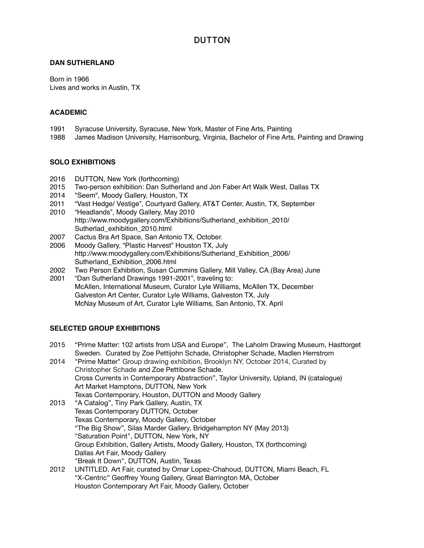### **DAN SUTHERLAND**

Born in 1966 Lives and works in Austin, TX

## **ACADEMIC**

- 1991 Syracuse University, Syracuse, New York, Master of Fine Arts, Painting
- 1988 James Madison University, Harrisonburg, Virginia, Bachelor of Fine Arts, Painting and Drawing

## **SOLO EXHIBITIONS**

- 2016 DUTTON, New York (forthcoming)
- 2015 Two-person exhibition: Dan Sutherland and Jon Faber Art Walk West, Dallas TX
- 2014 "Seem", Moody Gallery, Houston, TX
- 2011 "Vast Hedge/ Vestige", Courtyard Gallery, AT&T Center, Austin, TX, September
- 2010 "Headlands", Moody Gallery, May 2010 [http://www.moodygallery.com/Exhibitions/Sutherland\\_exhibition\\_2010/](http://www.moodygallery.com/Exhibitions/Sutherland_exhibition_2010/Sutherlad_exhibition_2010.html) [Sutherlad\\_exhibition\\_2010.html](http://www.moodygallery.com/Exhibitions/Sutherland_exhibition_2010/Sutherlad_exhibition_2010.html)
- 2007 Cactus Bra Art Space, San Antonio TX, October.
- 2006 Moody Gallery, "Plastic Harvest" Houston TX, July [http://www.moodygallery.com/Exhibitions/Sutherland\\_Exhibition\\_2006/](http://www.moodygallery.com/Exhibitions/Sutherland_Exhibition_2006/Sutherland_Exhibition_2006.html) [Sutherland\\_Exhibition\\_2006.html](http://www.moodygallery.com/Exhibitions/Sutherland_Exhibition_2006/Sutherland_Exhibition_2006.html)
- 2002 Two Person Exhibition, Susan Cummins Gallery, Mill Valley, CA.(Bay Area) June
- 2001 "Dan Sutherland Drawings 1991-2001", traveling to: McAllen, International Museum, Curator Lyle Williams, McAllen TX, December Galveston Art Center, Curator Lyle Williams, Galveston TX, July McNay Museum of Art, Curator Lyle Williams, San Antonio, TX. April

### **SELECTED GROUP EXHIBITIONS**

- 2015 "Prime Matter: 102 artists from USA and Europe", The Laholm Drawing Museum, Hasttorget Sweden. Curated by Zoe Pettijohn Schade, Christopher Schade, Madlen Herrstrom
- 2014 "Prime Matter" Group drawing exhibition, Brooklyn NY, October 2014, Curated by Christopher Schade and Zoe Pettibone Schade. Cross Currents in Contemporary Abstraction", Taylor University, Upland, IN (catalogue) Art Market Hamptons, DUTTON, New York Texas Contemporary, Houston, DUTTON and Moody Gallery
- 2013 "A Catalog", Tiny Park Gallery, Austin, TX Texas Contemporary DUTTON, October Texas Contemporary, Moody Gallery, October "The Big Show", Silas Marder Gallery, Bridgehampton NY (May 2013) "Saturation Point", DUTTON, New York, NY Group Exhibition, Gallery Artists, Moody Gallery, Houston, TX (forthcoming) Dallas Art Fair, Moody Gallery "Break It Down", DUTTON, Austin, Texas
- 2012 UNTITLED. Art Fair, curated by Omar Lopez-Chahoud, DUTTON, Miami Beach, FL "X-Centric" Geoffrey Young Gallery, Great Barrington MA, October Houston Contemporary Art Fair, Moody Gallery, October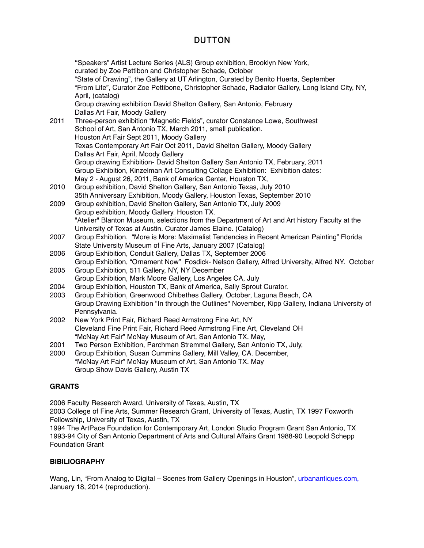"Speakers" Artist Lecture Series (ALS) Group exhibition, Brooklyn New York, curated by Zoe Pettibon and Christopher Schade, October "State of Drawing", the Gallery at UT Arlington, Curated by Benito Huerta, September "From Life", Curator Zoe Pettibone, Christopher Schade, Radiator Gallery, Long Island City, NY, April, (catalog) Group drawing exhibition David Shelton Gallery, San Antonio, February Dallas Art Fair, Moody Gallery 2011 Three-person exhibition "Magnetic Fields", curator Constance Lowe, Southwest School of Art, San Antonio TX, March 2011, small publication. Houston Art Fair Sept 2011, Moody Gallery Texas Contemporary Art Fair Oct 2011, David Shelton Gallery, Moody Gallery Dallas Art Fair, April, Moody Gallery Group drawing Exhibition- David Shelton Gallery San Antonio TX, February, 2011 Group Exhibition, Kinzelman Art Consulting Collage Exhibition: Exhibition dates: May 2 - August 26, 2011, Bank of America Center, Houston TX, 2010 Group exhibition, David Shelton Gallery, San Antonio Texas, July 2010 35th Anniversary Exhibition, Moody Gallery, Houston Texas, September 2010 2009 Group exhibition, David Shelton Gallery, San Antonio TX, July 2009 Group exhibition, Moody Gallery. Houston TX. "Atelier" Blanton Museum, selections from the Department of Art and Art history Faculty at the University of Texas at Austin. Curator James Elaine. (Catalog) 2007 Group Exhibition, "More is More: Maximalist Tendencies in Recent American Painting" Florida State University Museum of Fine Arts, January 2007 (Catalog) 2006 Group Exhibition, Conduit Gallery, Dallas TX, September 2006 Group Exhibition, "Ornament Now" Fosdick- Nelson Gallery, Alfred University, Alfred NY. October 2005 Group Exhibition, 511 Gallery, NY, NY December Group Exhibition, Mark Moore Gallery, Los Angeles CA, July 2004 Group Exhibition, Houston TX, Bank of America, Sally Sprout Curator. 2003 Group Exhibition, Greenwood Chibethes Gallery, October, Laguna Beach, CA Group Drawing Exhibition "In through the Outlines" November, Kipp Gallery, Indiana University of Pennsylvania. 2002 New York Print Fair, Richard Reed Armstrong Fine Art, NY Cleveland Fine Print Fair, Richard Reed Armstrong Fine Art, Cleveland OH ! ! "McNay Art Fair" McNay Museum of Art, San Antonio TX. May, 2001 Two Person Exhibition, Parchman Stremmel Gallery, San Antonio TX, July, 2000 Group Exhibition, Susan Cummins Gallery, Mill Valley, CA. December,

"McNay Art Fair" McNay Museum of Art, San Antonio TX. May Group Show Davis Gallery, Austin TX

### **GRANTS**

2006 Faculty Research Award, University of Texas, Austin, TX

2003 College of Fine Arts, Summer Research Grant, University of Texas, Austin, TX 1997 Foxworth Fellowship, University of Texas, Austin, TX

1994 The ArtPace Foundation for Contemporary Art, London Studio Program Grant San Antonio, TX 1993-94 City of San Antonio Department of Arts and Cultural Affairs Grant 1988-90 Leopold Schepp Foundation Grant

### **BIBILIOGRAPHY**

Wang, Lin, "From Analog to Digital – Scenes from Gallery Openings in Houston", urbanantiques.com, January 18, 2014 (reproduction).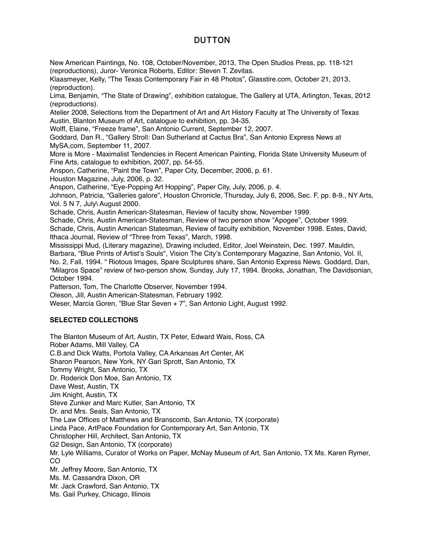New American Paintings, No. 108, October/November, 2013, The Open Studios Press, pp. 118-121 (reproductions), Juror- Veronica Roberts, Editor: Steven T. Zevitas.

Klaasmeyer, Kelly, "The Texas Contemporary Fair in 48 Photos", Glasstire.com, October 21, 2013, (reproduction).

Lima, Benjamin, "The State of Drawing", exhibition catalogue, The Gallery at UTA, Arlington, Texas, 2012 (reproductions).

Atelier 2008, Selections from the Department of Art and Art History Faculty at The University of Texas Austin, Blanton Museum of Art, catalogue to exhibition, pp. 34-35.

Wolff, Elaine, "Freeze frame", San Antonio Current, September 12, 2007.

Goddard, Dan R., "Gallery Stroll: Dan Sutherland at Cactus Bra", San Antonio Express News at MySA,com, September 11, 2007.

More is More - Maximalist Tendencies in Recent American Painting, Florida State University Museum of Fine Arts, catalogue to exhibition, 2007, pp. 54-55.

Anspon, Catherine, "Paint the Town", Paper City, December, 2006, p. 61.

Houston Magazine, July, 2006, p. 32.

Anspon, Catherine, "Eye-Popping Art Hopping", Paper City, July, 2006, p. 4.

Johnson, Patricia, "Galleries galore", Houston Chronicle, Thursday, July 6, 2006, Sec. F, pp. 8-9., NY Arts, Vol. 5 N 7, July\ August 2000.

Schade, Chris, Austin American-Statesman, Review of faculty show, November 1999.

Schade, Chris, Austin American-Statesman, Review of two person show "Apogee", October 1999.

Schade, Chris, Austin American Statesman, Review of faculty exhibition, November 1998. Estes, David, Ithaca Journal, Review of "Three from Texas", March, 1998.

Mississippi Mud, (Literary magazine), Drawing included, Editor, Joel Weinstein, Dec. 1997. Mauldin, Barbara, "Blue Prints of Artist's Souls", Vision The City's Contemporary Magazine, San Antonio, Vol. II, No. 2, Fall, 1994. " Riotous Images, Spare Sculptures share, San Antonio Express News. Goddard, Dan, "Milagros Space" review of two-person show, Sunday, July 17, 1994. Brooks, Jonathan, The Davidsonian, October 1994.

Patterson, Tom, The Charlotte Observer, November 1994.

Oleson, Jill, Austin American-Statesman, February 1992.

Weser, Marcia Goren, "Blue Star Seven + 7", San Antonio Light, August 1992.

### **SELECTED COLLECTIONS**

The Blanton Museum of Art, Austin, TX Peter, Edward Wais, Ross, CA Rober Adams, Mill Valley, CA C.B.and Dick Watts, Portola Valley, CA Arkansas Art Center, AK Sharon Pearson, New York, NY Gari Sprott, San Antonio, TX Tommy Wright, San Antonio, TX Dr. Roderick Don Moe, San Antonio, TX Dave West, Austin, TX Jim Knight, Austin, TX Steve Zunker and Marc Kutler, San Antonio, TX Dr. and Mrs. Seals, San Antonio, TX The Law Offices of Matthews and Branscomb, San Antonio, TX (corporate) Linda Pace, ArtPace Foundation for Contemporary Art, San Antonio, TX Christopher Hill, Architect, San Antonio, TX G2 Design, San Antonio, TX (corporate) Mr. Lyle Williams, Curator of Works on Paper, McNay Museum of Art, San Antonio, TX Ms. Karen Rymer, CO Mr. Jeffrey Moore, San Antonio, TX Ms. M. Cassandra Dixon, OR Mr. Jack Crawford, San Antonio, TX Ms. Gail Purkey, Chicago, Illinois